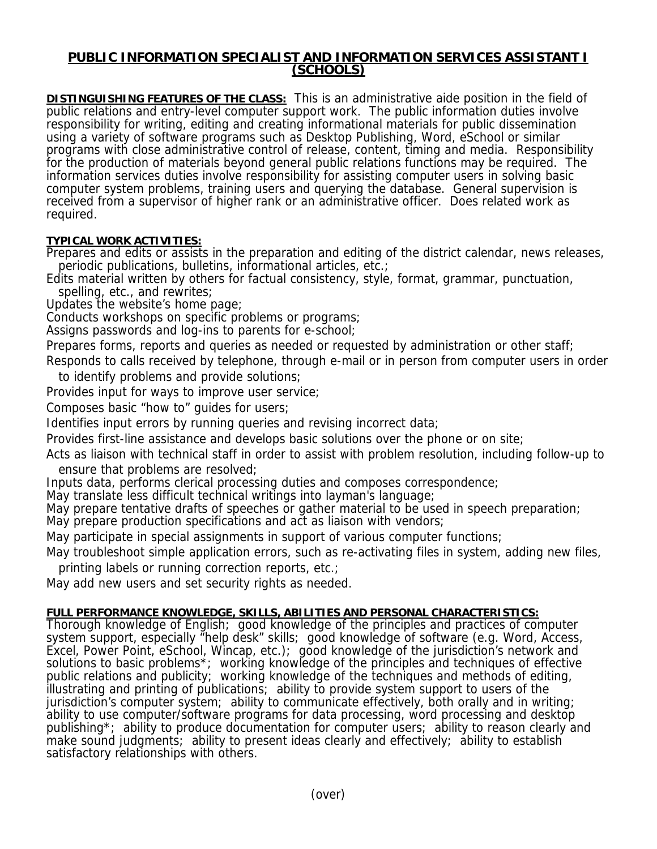## **PUBLIC INFORMATION SPECIALIST AND INFORMATION SERVICES ASSISTANT I (SCHOOLS)**

**DISTINGUISHING FEATURES OF THE CLASS:** This is an administrative aide position in the field of public relations and entry-level computer support work. The public information duties involve responsibility for writing, editing and creating informational materials for public dissemination using a variety of software programs such as Desktop Publishing, Word, eSchool or similar programs with close administrative control of release, content, timing and media. Responsibility for the production of materials beyond general public relations functions may be required. The information services duties involve responsibility for assisting computer users in solving basic computer system problems, training users and querying the database. General supervision is received from a supervisor of higher rank or an administrative officer. Does related work as required.

## **TYPICAL WORK ACTIVITIES:**

Prepares and edits or assists in the preparation and editing of the district calendar, news releases, periodic publications, bulletins, informational articles, etc.;

Edits material written by others for factual consistency, style, format, grammar, punctuation, spelling, etc., and rewrites;

Updates the website's home page;

Conducts workshops on specific problems or programs;

Assigns passwords and log-ins to parents for e-school;

Prepares forms, reports and queries as needed or requested by administration or other staff;

Responds to calls received by telephone, through e-mail or in person from computer users in order to identify problems and provide solutions;

Provides input for ways to improve user service;

Composes basic "how to" guides for users;

Identifies input errors by running queries and revising incorrect data;

Provides first-line assistance and develops basic solutions over the phone or on site;

Acts as liaison with technical staff in order to assist with problem resolution, including follow-up to ensure that problems are resolved;

Inputs data, performs clerical processing duties and composes correspondence;

May translate less difficult technical writings into layman's language;

May prepare tentative drafts of speeches or gather material to be used in speech preparation;

May prepare production specifications and act as liaison with vendors;

May participate in special assignments in support of various computer functions;

May troubleshoot simple application errors, such as re-activating files in system, adding new files, printing labels or running correction reports, etc.;

May add new users and set security rights as needed.

## **FULL PERFORMANCE KNOWLEDGE, SKILLS, ABILITIES AND PERSONAL CHARACTERISTICS:**

Thorough knowledge of English; good knowledge of the principles and practices of computer system support, especially "help desk" skills; good knowledge of software (e.g. Word, Access, Excel, Power Point, eSchool, Wincap, etc.); good knowledge of the jurisdiction's network and solutions to basic problems\*; working knowledge of the principles and techniques of effective public relations and publicity; working knowledge of the techniques and methods of editing, illustrating and printing of publications; ability to provide system support to users of the jurisdiction's computer system; ability to communicate effectively, both orally and in writing; ability to use computer/software programs for data processing, word processing and desktop publishing\*; ability to produce documentation for computer users; ability to reason clearly and make sound judgments; ability to present ideas clearly and effectively; ability to establish satisfactory relationships with others.